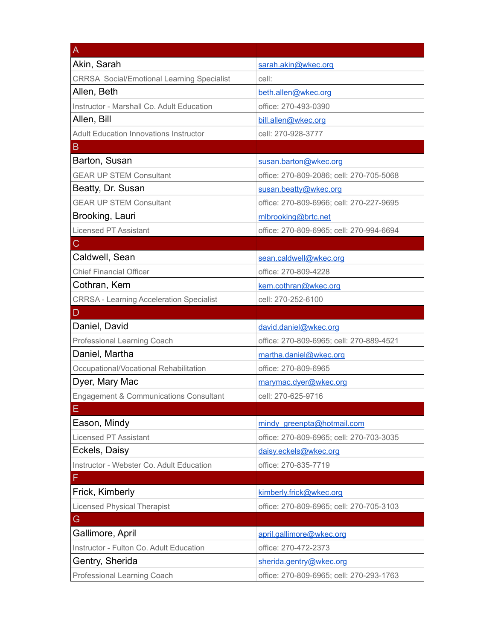| A                                                 |                                          |
|---------------------------------------------------|------------------------------------------|
| Akin, Sarah                                       | sarah.akin@wkec.org                      |
| <b>CRRSA Social/Emotional Learning Specialist</b> | cell:                                    |
| Allen, Beth                                       | beth.allen@wkec.org                      |
| Instructor - Marshall Co. Adult Education         | office: 270-493-0390                     |
| Allen, Bill                                       | bill.allen@wkec.org                      |
| <b>Adult Education Innovations Instructor</b>     | cell: 270-928-3777                       |
| B                                                 |                                          |
| Barton, Susan                                     | susan.barton@wkec.org                    |
| <b>GEAR UP STEM Consultant</b>                    | office: 270-809-2086; cell: 270-705-5068 |
| Beatty, Dr. Susan                                 | susan.beatty@wkec.org                    |
| <b>GEAR UP STEM Consultant</b>                    | office: 270-809-6966; cell: 270-227-9695 |
| Brooking, Lauri                                   | mlbrooking@brtc.net                      |
| <b>Licensed PT Assistant</b>                      | office: 270-809-6965; cell: 270-994-6694 |
| C                                                 |                                          |
| Caldwell, Sean                                    | sean.caldwell@wkec.org                   |
| <b>Chief Financial Officer</b>                    | office: 270-809-4228                     |
| Cothran, Kem                                      | kem.cothran@wkec.org                     |
| <b>CRRSA - Learning Acceleration Specialist</b>   | cell: 270-252-6100                       |
|                                                   |                                          |
| D                                                 |                                          |
| Daniel, David                                     | david.daniel@wkec.org                    |
| Professional Learning Coach                       | office: 270-809-6965; cell: 270-889-4521 |
| Daniel, Martha                                    | martha.daniel@wkec.org                   |
| Occupational/Vocational Rehabilitation            | office: 270-809-6965                     |
| Dyer, Mary Mac                                    | marymac.dyer@wkec.org                    |
| <b>Engagement &amp; Communications Consultant</b> | cell: 270-625-9716                       |
| ᄇ                                                 |                                          |
| Eason, Mindy                                      | mindy greenpta@hotmail.com               |
| <b>Licensed PT Assistant</b>                      | office: 270-809-6965; cell: 270-703-3035 |
| Eckels, Daisy                                     | daisy.eckels@wkec.org                    |
| Instructor - Webster Co. Adult Education          | office: 270-835-7719                     |
| F                                                 |                                          |
| Frick, Kimberly                                   | kimberly.frick@wkec.org                  |
| <b>Licensed Physical Therapist</b>                | office: 270-809-6965; cell: 270-705-3103 |
| G                                                 |                                          |
| Gallimore, April                                  | april.gallimore@wkec.org                 |
| Instructor - Fulton Co. Adult Education           | office: 270-472-2373                     |
| Gentry, Sherida                                   | sherida.gentry@wkec.org                  |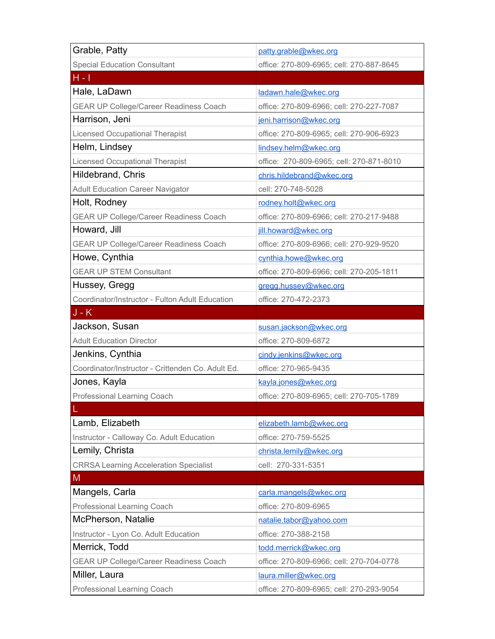| Grable, Patty                                     | patty.grable@wkec.org                    |
|---------------------------------------------------|------------------------------------------|
| <b>Special Education Consultant</b>               | office: 270-809-6965; cell: 270-887-8645 |
| $H - I$                                           |                                          |
| Hale, LaDawn                                      | ladawn.hale@wkec.org                     |
| <b>GEAR UP College/Career Readiness Coach</b>     | office: 270-809-6966; cell: 270-227-7087 |
| Harrison, Jeni                                    | jeni.harrison@wkec.org                   |
| <b>Licensed Occupational Therapist</b>            | office: 270-809-6965; cell: 270-906-6923 |
| Helm, Lindsey                                     | lindsey.helm@wkec.org                    |
| <b>Licensed Occupational Therapist</b>            | office: 270-809-6965; cell: 270-871-8010 |
| Hildebrand, Chris                                 | chris.hildebrand@wkec.org                |
| <b>Adult Education Career Navigator</b>           | cell: 270-748-5028                       |
| Holt, Rodney                                      | rodney.holt@wkec.org                     |
| GEAR UP College/Career Readiness Coach            | office: 270-809-6966; cell: 270-217-9488 |
| Howard, Jill                                      | jill.howard@wkec.org                     |
| <b>GEAR UP College/Career Readiness Coach</b>     | office: 270-809-6966; cell: 270-929-9520 |
| Howe, Cynthia                                     | cynthia.howe@wkec.org                    |
| <b>GEAR UP STEM Consultant</b>                    | office: 270-809-6966; cell: 270-205-1811 |
| Hussey, Gregg                                     | gregg.hussey@wkec.org                    |
| Coordinator/Instructor - Fulton Adult Education   | office: 270-472-2373                     |
| $J - K$                                           |                                          |
| Jackson, Susan                                    | susan.jackson@wkec.org                   |
| <b>Adult Education Director</b>                   | office: 270-809-6872                     |
| Jenkins, Cynthia                                  | cindy.jenkins@wkec.org                   |
| Coordinator/Instructor - Crittenden Co. Adult Ed. | office: 270-965-9435                     |
| Jones, Kayla                                      | kayla.jones@wkec.org                     |
| Professional Learning Coach                       | office: 270-809-6965; cell: 270-705-1789 |
|                                                   |                                          |
| Lamb, Elizabeth                                   | elizabeth.lamb@wkec.org                  |
| Instructor - Calloway Co. Adult Education         | office: 270-759-5525                     |
| Lemily, Christa                                   | christa.lemily@wkec.org                  |
| <b>CRRSA Learning Acceleration Specialist</b>     | cell: 270-331-5351                       |
| M                                                 |                                          |
| Mangels, Carla                                    | carla.mangels@wkec.org                   |
| Professional Learning Coach                       | office: 270-809-6965                     |
| McPherson, Natalie                                | natalie.tabor@yahoo.com                  |
| Instructor - Lyon Co. Adult Education             | office: 270-388-2158                     |
| Merrick, Todd                                     | todd.merrick@wkec.org                    |
| <b>GEAR UP College/Career Readiness Coach</b>     | office: 270-809-6966; cell: 270-704-0778 |
| Miller, Laura                                     | laura.miller@wkec.org                    |
| Professional Learning Coach                       | office: 270-809-6965; cell: 270-293-9054 |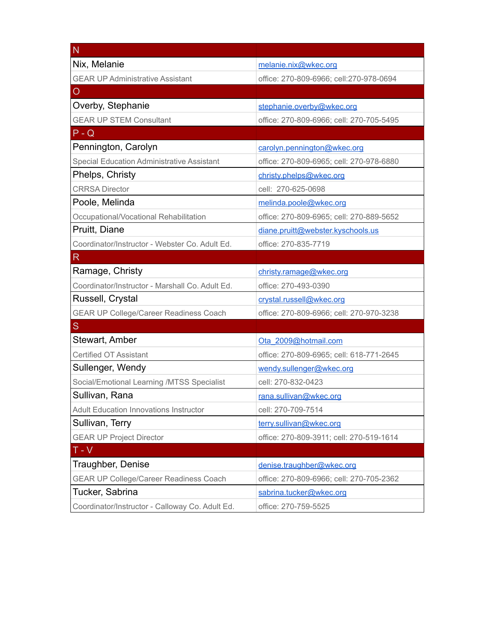| N                                                 |                                          |
|---------------------------------------------------|------------------------------------------|
| Nix, Melanie                                      | melanie.nix@wkec.org                     |
| <b>GEAR UP Administrative Assistant</b>           | office: 270-809-6966; cell:270-978-0694  |
| O                                                 |                                          |
| Overby, Stephanie                                 | stephanie.overby@wkec.org                |
| <b>GEAR UP STEM Consultant</b>                    | office: 270-809-6966; cell: 270-705-5495 |
| $P - Q$                                           |                                          |
| Pennington, Carolyn                               | carolyn.pennington@wkec.org              |
| <b>Special Education Administrative Assistant</b> | office: 270-809-6965; cell: 270-978-6880 |
| Phelps, Christy                                   | christy.phelps@wkec.org                  |
| <b>CRRSA Director</b>                             | cell: 270-625-0698                       |
| Poole, Melinda                                    | melinda.poole@wkec.org                   |
| Occupational/Vocational Rehabilitation            | office: 270-809-6965; cell: 270-889-5652 |
| Pruitt, Diane                                     | diane.pruitt@webster.kyschools.us        |
| Coordinator/Instructor - Webster Co. Adult Ed.    | office: 270-835-7719                     |
| R                                                 |                                          |
| Ramage, Christy                                   | christy.ramage@wkec.org                  |
| Coordinator/Instructor - Marshall Co. Adult Ed.   | office: 270-493-0390                     |
| Russell, Crystal                                  | crystal.russell@wkec.org                 |
| <b>GEAR UP College/Career Readiness Coach</b>     | office: 270-809-6966; cell: 270-970-3238 |
| S                                                 |                                          |
| Stewart, Amber                                    | Ota 2009@hotmail.com                     |
| <b>Certified OT Assistant</b>                     | office: 270-809-6965; cell: 618-771-2645 |
| Sullenger, Wendy                                  | wendy.sullenger@wkec.org                 |
| Social/Emotional Learning /MTSS Specialist        | cell: 270-832-0423                       |
| Sullivan, Rana                                    | rana.sullivan@wkec.org                   |
| <b>Adult Education Innovations Instructor</b>     | cell: 270-709-7514                       |
| Sullivan, Terry                                   | terry.sullivan@wkec.org                  |
| <b>GEAR UP Project Director</b>                   | office: 270-809-3911; cell: 270-519-1614 |
| $T - V$                                           |                                          |
| Traughber, Denise                                 | denise.traughber@wkec.org                |
| <b>GEAR UP College/Career Readiness Coach</b>     | office: 270-809-6966; cell: 270-705-2362 |
| Tucker, Sabrina                                   | sabrina.tucker@wkec.org                  |
| Coordinator/Instructor - Calloway Co. Adult Ed.   | office: 270-759-5525                     |